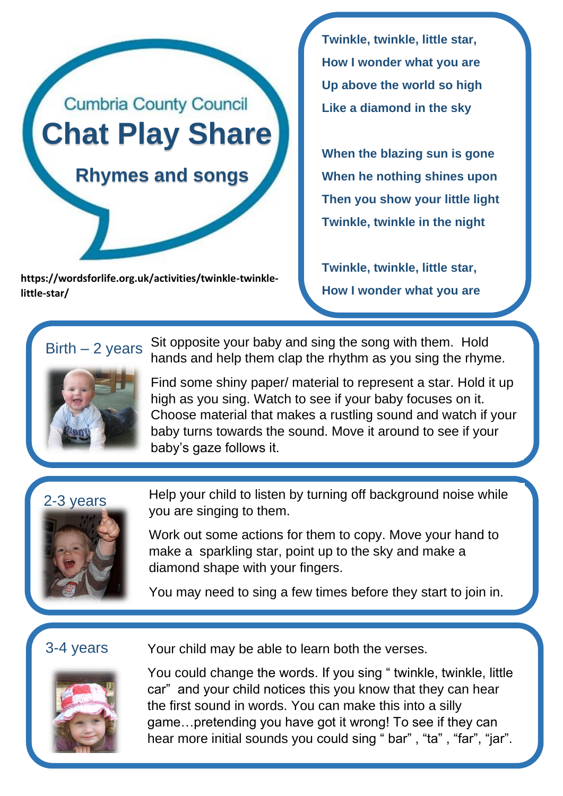

**https://wordsforlife.org.uk/activities/twinkle-twinklelittle-star/**

**Twinkle, twinkle, little star, How I wonder what you are Up above the world so high Like a diamond in the sky** 

**When the blazing sun is gone When he nothing shines upon Then you show your little light Twinkle, twinkle in the night** 

**Twinkle, twinkle, little star, How I wonder what you are**

 $Birth - 2 years$ 



Sit opposite your baby and sing the song with them. Hold hands and help them clap the rhythm as you sing the rhyme.

Find some shiny paper/ material to represent a star. Hold it up high as you sing. Watch to see if your baby focuses on it. Choose material that makes a rustling sound and watch if your baby turns towards the sound. Move it around to see if your baby's gaze follows it.





Help your child to listen by turning off background noise while you are singing to them.

Work out some actions for them to copy. Move your hand to make a sparkling star, point up to the sky and make a diamond shape with your fingers.

You may need to sing a few times before they start to join in.

## 3-4 years



Your child may be able to learn both the verses.

You could change the words. If you sing " twinkle, twinkle, little car" and your child notices this you know that they can hear the first sound in words. You can make this into a silly game…pretending you have got it wrong! To see if they can hear more initial sounds you could sing " bar", "ta", "far", "jar".